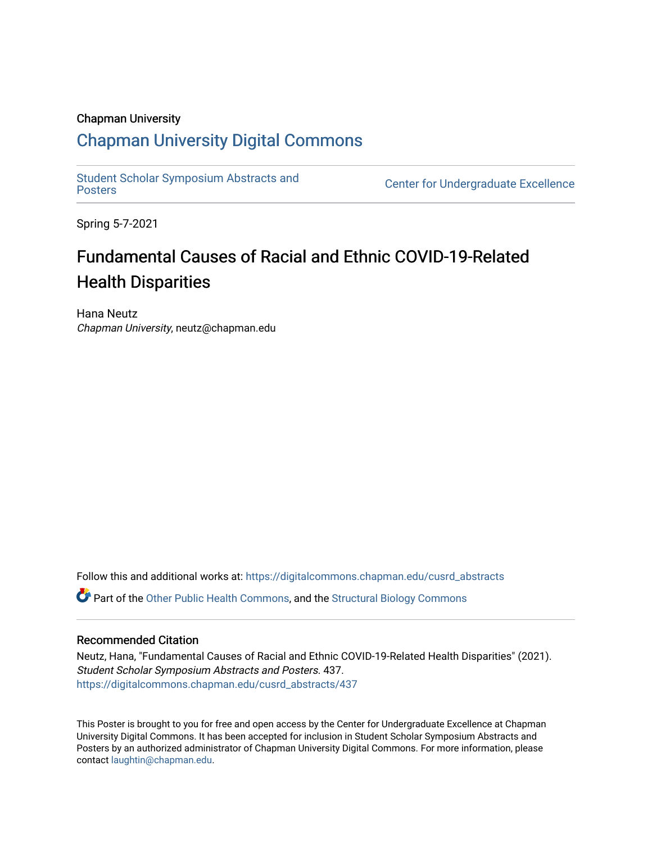### Chapman University

### [Chapman University Digital Commons](https://digitalcommons.chapman.edu/)

[Student Scholar Symposium Abstracts and](https://digitalcommons.chapman.edu/cusrd_abstracts) 

**Center for Undergraduate Excellence** 

Spring 5-7-2021

### Fundamental Causes of Racial and Ethnic COVID-19-Related Health Disparities

Hana Neutz Chapman University, neutz@chapman.edu

Follow this and additional works at: [https://digitalcommons.chapman.edu/cusrd\\_abstracts](https://digitalcommons.chapman.edu/cusrd_abstracts?utm_source=digitalcommons.chapman.edu%2Fcusrd_abstracts%2F437&utm_medium=PDF&utm_campaign=PDFCoverPages) 

Part of the [Other Public Health Commons,](http://network.bepress.com/hgg/discipline/748?utm_source=digitalcommons.chapman.edu%2Fcusrd_abstracts%2F437&utm_medium=PDF&utm_campaign=PDFCoverPages) and the [Structural Biology Commons](http://network.bepress.com/hgg/discipline/6?utm_source=digitalcommons.chapman.edu%2Fcusrd_abstracts%2F437&utm_medium=PDF&utm_campaign=PDFCoverPages) 

### Recommended Citation

Neutz, Hana, "Fundamental Causes of Racial and Ethnic COVID-19-Related Health Disparities" (2021). Student Scholar Symposium Abstracts and Posters. 437. [https://digitalcommons.chapman.edu/cusrd\\_abstracts/437](https://digitalcommons.chapman.edu/cusrd_abstracts/437?utm_source=digitalcommons.chapman.edu%2Fcusrd_abstracts%2F437&utm_medium=PDF&utm_campaign=PDFCoverPages) 

This Poster is brought to you for free and open access by the Center for Undergraduate Excellence at Chapman University Digital Commons. It has been accepted for inclusion in Student Scholar Symposium Abstracts and Posters by an authorized administrator of Chapman University Digital Commons. For more information, please contact [laughtin@chapman.edu](mailto:laughtin@chapman.edu).